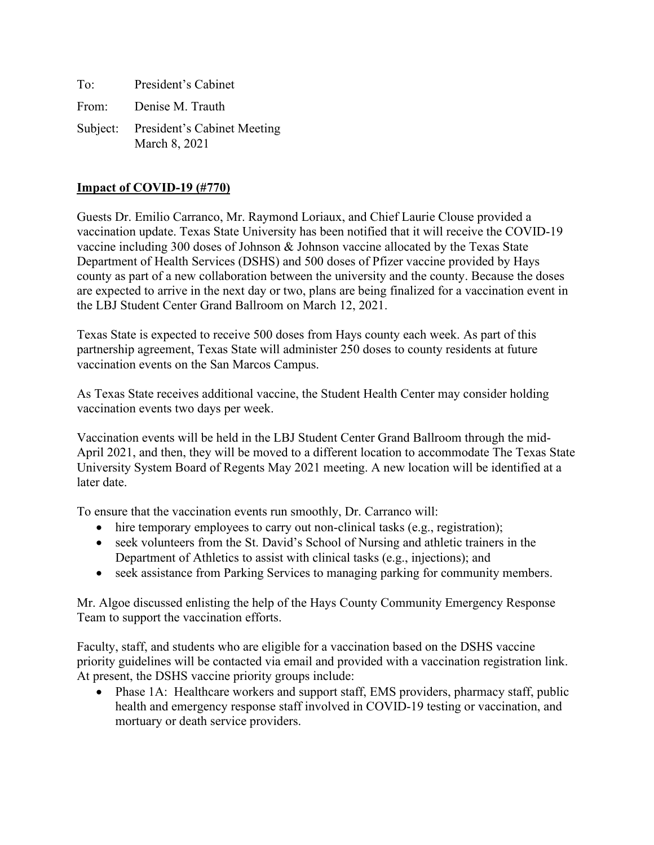| To: | President's Cabinet                                   |
|-----|-------------------------------------------------------|
|     | From: Denise M. Trauth                                |
|     | Subject: President's Cabinet Meeting<br>March 8, 2021 |

# **Impact of COVID-19 (#770)**

Guests Dr. Emilio Carranco, Mr. Raymond Loriaux, and Chief Laurie Clouse provided a vaccination update. Texas State University has been notified that it will receive the COVID-19 vaccine including 300 doses of Johnson & Johnson vaccine allocated by the Texas State Department of Health Services (DSHS) and 500 doses of Pfizer vaccine provided by Hays county as part of a new collaboration between the university and the county. Because the doses are expected to arrive in the next day or two, plans are being finalized for a vaccination event in the LBJ Student Center Grand Ballroom on March 12, 2021.

Texas State is expected to receive 500 doses from Hays county each week. As part of this partnership agreement, Texas State will administer 250 doses to county residents at future vaccination events on the San Marcos Campus.

As Texas State receives additional vaccine, the Student Health Center may consider holding vaccination events two days per week.

Vaccination events will be held in the LBJ Student Center Grand Ballroom through the mid-April 2021, and then, they will be moved to a different location to accommodate The Texas State University System Board of Regents May 2021 meeting. A new location will be identified at a later date.

To ensure that the vaccination events run smoothly, Dr. Carranco will:

- hire temporary employees to carry out non-clinical tasks (e.g., registration);
- seek volunteers from the St. David's School of Nursing and athletic trainers in the Department of Athletics to assist with clinical tasks (e.g., injections); and
- seek assistance from Parking Services to managing parking for community members.

Mr. Algoe discussed enlisting the help of the Hays County Community Emergency Response Team to support the vaccination efforts.

Faculty, staff, and students who are eligible for a vaccination based on the DSHS vaccine priority guidelines will be contacted via email and provided with a vaccination registration link. At present, the DSHS vaccine priority groups include:

• Phase 1A: Healthcare workers and support staff, EMS providers, pharmacy staff, public health and emergency response staff involved in COVID-19 testing or vaccination, and mortuary or death service providers.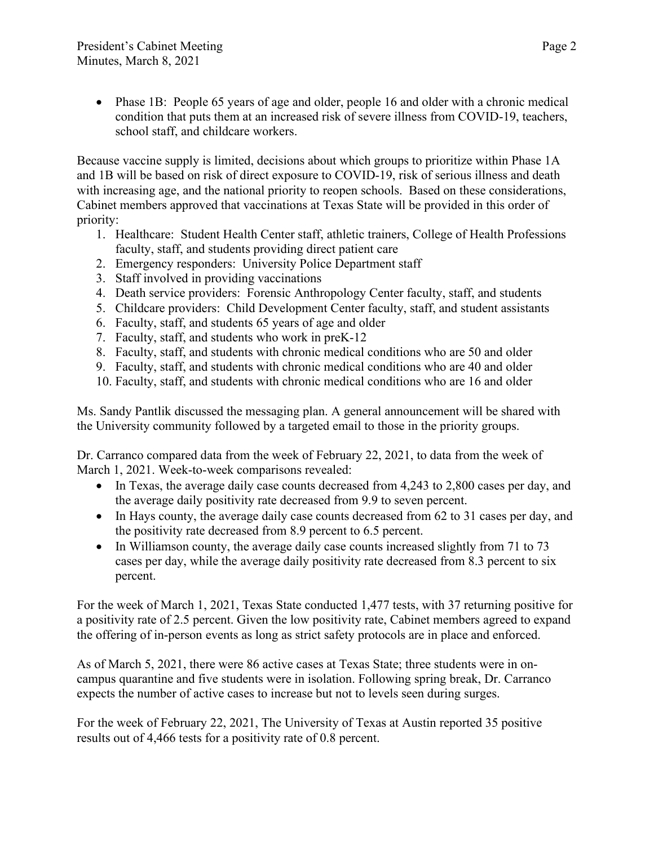• Phase 1B: People 65 years of age and older, people 16 and older with a chronic medical condition that puts them at an increased risk of severe illness from COVID-19, teachers, school staff, and childcare workers.

Because vaccine supply is limited, decisions about which groups to prioritize within Phase 1A and 1B will be based on risk of direct exposure to COVID-19, risk of serious illness and death with increasing age, and the national priority to reopen schools. Based on these considerations, Cabinet members approved that vaccinations at Texas State will be provided in this order of priority:

- 1. Healthcare: Student Health Center staff, athletic trainers, College of Health Professions faculty, staff, and students providing direct patient care
- 2. Emergency responders: University Police Department staff
- 3. Staff involved in providing vaccinations
- 4. Death service providers: Forensic Anthropology Center faculty, staff, and students
- 5. Childcare providers: Child Development Center faculty, staff, and student assistants
- 6. Faculty, staff, and students 65 years of age and older
- 7. Faculty, staff, and students who work in preK-12
- 8. Faculty, staff, and students with chronic medical conditions who are 50 and older
- 9. Faculty, staff, and students with chronic medical conditions who are 40 and older
- 10. Faculty, staff, and students with chronic medical conditions who are 16 and older

Ms. Sandy Pantlik discussed the messaging plan. A general announcement will be shared with the University community followed by a targeted email to those in the priority groups.

Dr. Carranco compared data from the week of February 22, 2021, to data from the week of March 1, 2021. Week-to-week comparisons revealed:

- In Texas, the average daily case counts decreased from 4,243 to 2,800 cases per day, and the average daily positivity rate decreased from 9.9 to seven percent.
- In Hays county, the average daily case counts decreased from 62 to 31 cases per day, and the positivity rate decreased from 8.9 percent to 6.5 percent.
- In Williamson county, the average daily case counts increased slightly from 71 to 73 cases per day, while the average daily positivity rate decreased from 8.3 percent to six percent.

For the week of March 1, 2021, Texas State conducted 1,477 tests, with 37 returning positive for a positivity rate of 2.5 percent. Given the low positivity rate, Cabinet members agreed to expand the offering of in-person events as long as strict safety protocols are in place and enforced.

As of March 5, 2021, there were 86 active cases at Texas State; three students were in oncampus quarantine and five students were in isolation. Following spring break, Dr. Carranco expects the number of active cases to increase but not to levels seen during surges.

For the week of February 22, 2021, The University of Texas at Austin reported 35 positive results out of 4,466 tests for a positivity rate of 0.8 percent.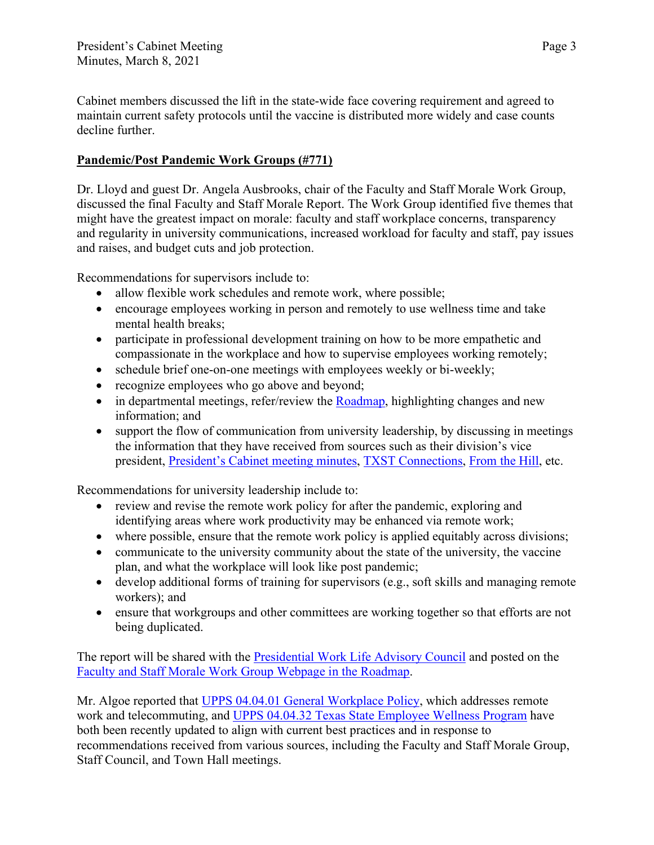Cabinet members discussed the lift in the state-wide face covering requirement and agreed to maintain current safety protocols until the vaccine is distributed more widely and case counts decline further.

# **Pandemic/Post Pandemic Work Groups (#771)**

Dr. Lloyd and guest Dr. Angela Ausbrooks, chair of the Faculty and Staff Morale Work Group, discussed the final Faculty and Staff Morale Report. The Work Group identified five themes that might have the greatest impact on morale: faculty and staff workplace concerns, transparency and regularity in university communications, increased workload for faculty and staff, pay issues and raises, and budget cuts and job protection.

Recommendations for supervisors include to:

- allow flexible work schedules and remote work, where possible;
- encourage employees working in person and remotely to use wellness time and take mental health breaks;
- participate in professional development training on how to be more empathetic and compassionate in the workplace and how to supervise employees working remotely;
- schedule brief one-on-one meetings with employees weekly or bi-weekly;
- recognize employees who go above and beyond;
- $\bullet$  in departmental meetings, refer/review the [Roadmap,](https://www.txstate.edu/coronavirus/road-map.html) highlighting changes and new information; and
- support the flow of communication from university leadership, by discussing in meetings the information that they have received from sources such as their division's vice president, [President's Cabinet meeting minutes,](https://cabinet.president.txstate.edu/minutes.html) TXST [Connections,](https://news.txstate.edu/about/communications/txst-connections.html) [From the Hill,](https://www.president.txstate.edu/from-the-hill.html) etc.

Recommendations for university leadership include to:

- review and revise the remote work policy for after the pandemic, exploring and identifying areas where work productivity may be enhanced via remote work;
- where possible, ensure that the remote work policy is applied equitably across divisions;
- communicate to the university community about the state of the university, the vaccine plan, and what the workplace will look like post pandemic;
- develop additional forms of training for supervisors (e.g., soft skills and managing remote workers); and
- ensure that workgroups and other committees are working together so that efforts are not being duplicated.

The report will be shared with the **Presidential Work [Life Advisory Council](https://www.txstate.edu/roster/standing/provost-vpaa/work-life.html)** and posted on the [Faculty and Staff Morale Work Group Webpage in the Roadmap.](https://www.txstate.edu/coronavirus/work-groups/faculty-and-staff-morale.html)

Mr. Algoe reported that [UPPS 04.04.01 General Workplace Policy,](https://policies.txstate.edu/university-policies/04-04-01.html) which addresses remote work and telecommuting, and [UPPS 04.04.32 Texas State Employee Wellness Program](https://policies.txstate.edu/university-policies/04-04-32.html) have both been recently updated to align with current best practices and in response to recommendations received from various sources, including the Faculty and Staff Morale Group, Staff Council, and Town Hall meetings.